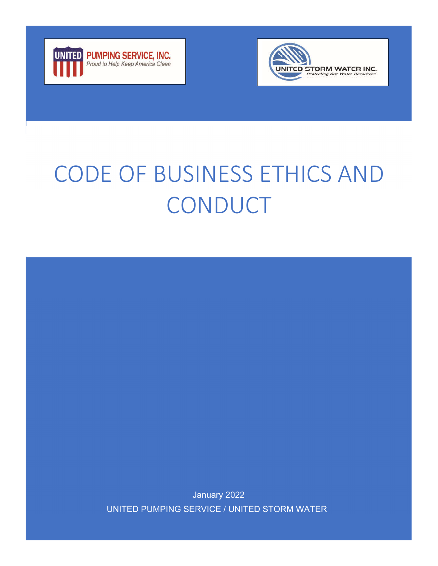



# CODE OF BUSINESS ETHICS AND **CONDUCT**

January 2022 UNITED PUMPING SERVICE / UNITED STORM WATER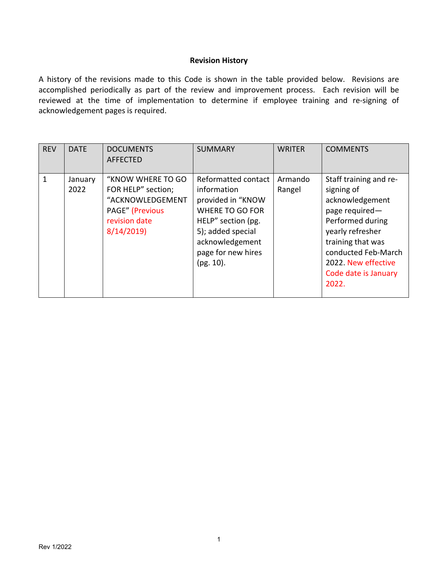#### **Revision History**

A history of the revisions made to this Code is shown in the table provided below. Revisions are accomplished periodically as part of the review and improvement process. Each revision will be reviewed at the time of implementation to determine if employee training and re-signing of acknowledgement pages is required.

| <b>REV</b> | <b>DATE</b>     | <b>DOCUMENTS</b><br><b>AFFECTED</b>                                                                                 | <b>SUMMARY</b>                                                                                                                                                                        | <b>WRITER</b>     | <b>COMMENTS</b>                                                                                                                                                                                                       |
|------------|-----------------|---------------------------------------------------------------------------------------------------------------------|---------------------------------------------------------------------------------------------------------------------------------------------------------------------------------------|-------------------|-----------------------------------------------------------------------------------------------------------------------------------------------------------------------------------------------------------------------|
| 1          | January<br>2022 | "KNOW WHERE TO GO<br>FOR HELP" section;<br>"ACKNOWLEDGEMENT<br><b>PAGE"</b> (Previous<br>revision date<br>8/14/2019 | Reformatted contact<br>information<br>provided in "KNOW<br><b>WHERE TO GO FOR</b><br>HELP" section (pg.<br>5); added special<br>acknowledgement<br>page for new hires<br>$(pg. 10)$ . | Armando<br>Rangel | Staff training and re-<br>signing of<br>acknowledgement<br>page required-<br>Performed during<br>yearly refresher<br>training that was<br>conducted Feb-March<br>2022. New effective<br>Code date is January<br>2022. |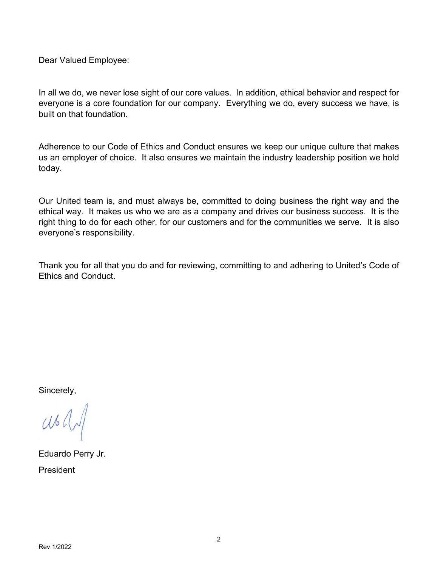Dear Valued Employee:

In all we do, we never lose sight of our core values. In addition, ethical behavior and respect for everyone is a core foundation for our company. Everything we do, every success we have, is built on that foundation.

Adherence to our Code of Ethics and Conduct ensures we keep our unique culture that makes us an employer of choice. It also ensures we maintain the industry leadership position we hold today.

Our United team is, and must always be, committed to doing business the right way and the ethical way. It makes us who we are as a company and drives our business success. It is the right thing to do for each other, for our customers and for the communities we serve. It is also everyone's responsibility.

Thank you for all that you do and for reviewing, committing to and adhering to United's Code of Ethics and Conduct.

Sincerely,

 $Wb$ 

Eduardo Perry Jr. President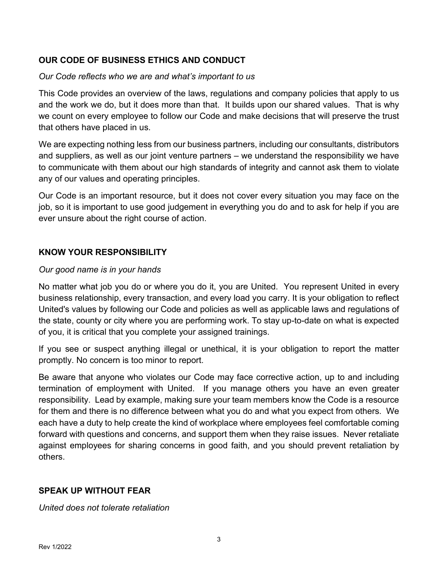## **OUR CODE OF BUSINESS ETHICS AND CONDUCT**

## *Our Code reflects who we are and what's important to us*

This Code provides an overview of the laws, regulations and company policies that apply to us and the work we do, but it does more than that. It builds upon our shared values. That is why we count on every employee to follow our Code and make decisions that will preserve the trust that others have placed in us.

We are expecting nothing less from our business partners, including our consultants, distributors and suppliers, as well as our joint venture partners – we understand the responsibility we have to communicate with them about our high standards of integrity and cannot ask them to violate any of our values and operating principles.

Our Code is an important resource, but it does not cover every situation you may face on the job, so it is important to use good judgement in everything you do and to ask for help if you are ever unsure about the right course of action.

## **KNOW YOUR RESPONSIBILITY**

## *Our good name is in your hands*

No matter what job you do or where you do it, you are United. You represent United in every business relationship, every transaction, and every load you carry. It is your obligation to reflect United's values by following our Code and policies as well as applicable laws and regulations of the state, county or city where you are performing work. To stay up-to-date on what is expected of you, it is critical that you complete your assigned trainings.

If you see or suspect anything illegal or unethical, it is your obligation to report the matter promptly. No concern is too minor to report.

Be aware that anyone who violates our Code may face corrective action, up to and including termination of employment with United. If you manage others you have an even greater responsibility. Lead by example, making sure your team members know the Code is a resource for them and there is no difference between what you do and what you expect from others. We each have a duty to help create the kind of workplace where employees feel comfortable coming forward with questions and concerns, and support them when they raise issues. Never retaliate against employees for sharing concerns in good faith, and you should prevent retaliation by others.

## **SPEAK UP WITHOUT FEAR**

*United does not tolerate retaliation*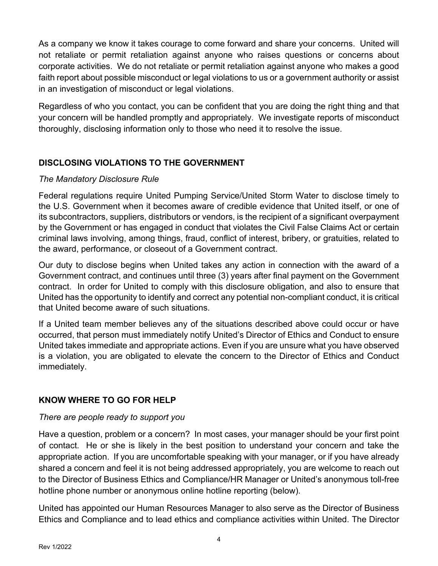As a company we know it takes courage to come forward and share your concerns. United will not retaliate or permit retaliation against anyone who raises questions or concerns about corporate activities. We do not retaliate or permit retaliation against anyone who makes a good faith report about possible misconduct or legal violations to us or a government authority or assist in an investigation of misconduct or legal violations.

Regardless of who you contact, you can be confident that you are doing the right thing and that your concern will be handled promptly and appropriately. We investigate reports of misconduct thoroughly, disclosing information only to those who need it to resolve the issue.

## **DISCLOSING VIOLATIONS TO THE GOVERNMENT**

## *The Mandatory Disclosure Rule*

Federal regulations require United Pumping Service/United Storm Water to disclose timely to the U.S. Government when it becomes aware of credible evidence that United itself, or one of its subcontractors, suppliers, distributors or vendors, is the recipient of a significant overpayment by the Government or has engaged in conduct that violates the Civil False Claims Act or certain criminal laws involving, among things, fraud, conflict of interest, bribery, or gratuities, related to the award, performance, or closeout of a Government contract.

Our duty to disclose begins when United takes any action in connection with the award of a Government contract, and continues until three (3) years after final payment on the Government contract. In order for United to comply with this disclosure obligation, and also to ensure that United has the opportunity to identify and correct any potential non-compliant conduct, it is critical that United become aware of such situations.

If a United team member believes any of the situations described above could occur or have occurred, that person must immediately notify United's Director of Ethics and Conduct to ensure United takes immediate and appropriate actions. Even if you are unsure what you have observed is a violation, you are obligated to elevate the concern to the Director of Ethics and Conduct immediately.

## **KNOW WHERE TO GO FOR HELP**

## *There are people ready to support you*

Have a question, problem or a concern? In most cases, your manager should be your first point of contact. He or she is likely in the best position to understand your concern and take the appropriate action. If you are uncomfortable speaking with your manager, or if you have already shared a concern and feel it is not being addressed appropriately, you are welcome to reach out to the Director of Business Ethics and Compliance/HR Manager or United's anonymous toll-free hotline phone number or anonymous online hotline reporting (below).

United has appointed our Human Resources Manager to also serve as the Director of Business Ethics and Compliance and to lead ethics and compliance activities within United. The Director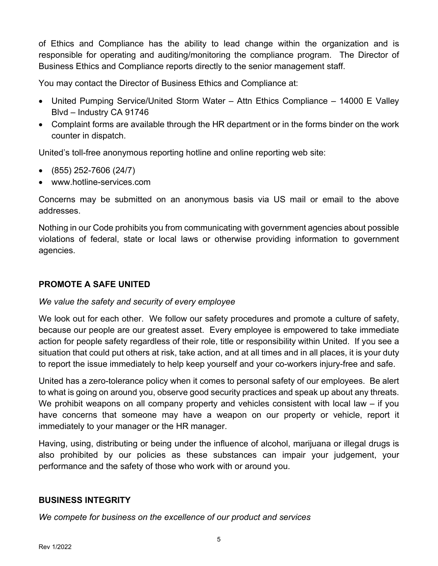of Ethics and Compliance has the ability to lead change within the organization and is responsible for operating and auditing/monitoring the compliance program. The Director of Business Ethics and Compliance reports directly to the senior management staff.

You may contact the Director of Business Ethics and Compliance at:

- United Pumping Service/United Storm Water Attn Ethics Compliance 14000 E Valley Blvd – Industry CA 91746
- Complaint forms are available through the HR department or in the forms binder on the work counter in dispatch.

United's toll-free anonymous reporting hotline and online reporting web site:

- (855) 252-7606 (24/7)
- www.hotline-services.com

Concerns may be submitted on an anonymous basis via US mail or email to the above addresses.

Nothing in our Code prohibits you from communicating with government agencies about possible violations of federal, state or local laws or otherwise providing information to government agencies.

## **PROMOTE A SAFE UNITED**

#### *We value the safety and security of every employee*

We look out for each other. We follow our safety procedures and promote a culture of safety, because our people are our greatest asset. Every employee is empowered to take immediate action for people safety regardless of their role, title or responsibility within United. If you see a situation that could put others at risk, take action, and at all times and in all places, it is your duty to report the issue immediately to help keep yourself and your co-workers injury-free and safe.

United has a zero-tolerance policy when it comes to personal safety of our employees. Be alert to what is going on around you, observe good security practices and speak up about any threats. We prohibit weapons on all company property and vehicles consistent with local law – if you have concerns that someone may have a weapon on our property or vehicle, report it immediately to your manager or the HR manager.

Having, using, distributing or being under the influence of alcohol, marijuana or illegal drugs is also prohibited by our policies as these substances can impair your judgement, your performance and the safety of those who work with or around you.

#### **BUSINESS INTEGRITY**

*We compete for business on the excellence of our product and services*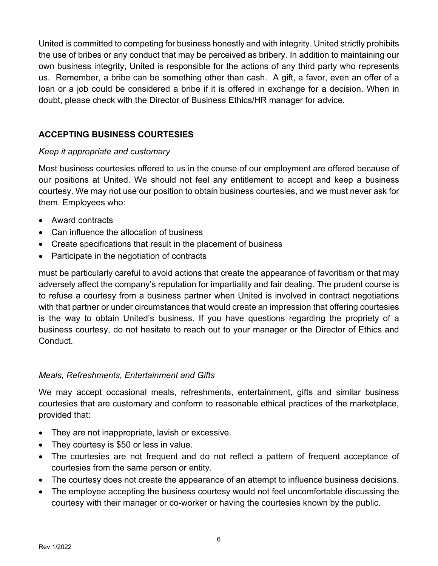United is committed to competing for business honestly and with integrity. United strictly prohibits the use of bribes or any conduct that may be perceived as bribery. In addition to maintaining our own business integrity, United is responsible for the actions of any third party who represents us. Remember, a bribe can be something other than cash. A gift, a favor, even an offer of a loan or a job could be considered a bribe if it is offered in exchange for a decision. When in doubt, please check with the Director of Business Ethics/HR manager for advice.

## **ACCEPTING BUSINESS COURTESIES**

## *Keep it appropriate and customary*

Most business courtesies offered to us in the course of our employment are offered because of our positions at United. We should not feel any entitlement to accept and keep a business courtesy. We may not use our position to obtain business courtesies, and we must never ask for them. Employees who:

- Award contracts
- Can influence the allocation of business
- Create specifications that result in the placement of business
- Participate in the negotiation of contracts

must be particularly careful to avoid actions that create the appearance of favoritism or that may adversely affect the company's reputation for impartiality and fair dealing. The prudent course is to refuse a courtesy from a business partner when United is involved in contract negotiations with that partner or under circumstances that would create an impression that offering courtesies is the way to obtain United's business. If you have questions regarding the propriety of a business courtesy, do not hesitate to reach out to your manager or the Director of Ethics and Conduct.

## *Meals, Refreshments, Entertainment and Gifts*

We may accept occasional meals, refreshments, entertainment, gifts and similar business courtesies that are customary and conform to reasonable ethical practices of the marketplace, provided that:

- They are not inappropriate, lavish or excessive.
- They courtesy is \$50 or less in value.
- The courtesies are not frequent and do not reflect a pattern of frequent acceptance of courtesies from the same person or entity.
- The courtesy does not create the appearance of an attempt to influence business decisions.
- The employee accepting the business courtesy would not feel uncomfortable discussing the courtesy with their manager or co-worker or having the courtesies known by the public.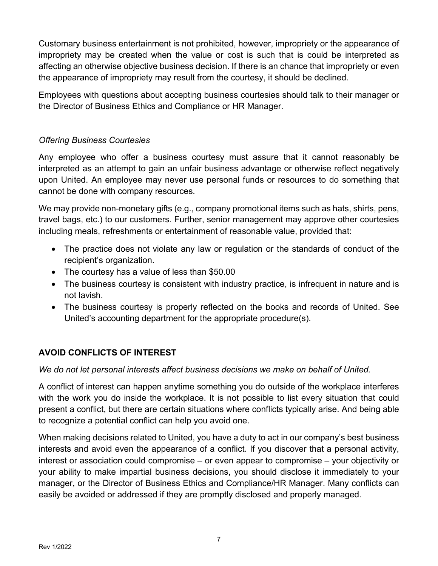Customary business entertainment is not prohibited, however, impropriety or the appearance of impropriety may be created when the value or cost is such that is could be interpreted as affecting an otherwise objective business decision. If there is an chance that impropriety or even the appearance of impropriety may result from the courtesy, it should be declined.

Employees with questions about accepting business courtesies should talk to their manager or the Director of Business Ethics and Compliance or HR Manager.

## *Offering Business Courtesies*

Any employee who offer a business courtesy must assure that it cannot reasonably be interpreted as an attempt to gain an unfair business advantage or otherwise reflect negatively upon United. An employee may never use personal funds or resources to do something that cannot be done with company resources.

We may provide non-monetary gifts (e.g., company promotional items such as hats, shirts, pens, travel bags, etc.) to our customers. Further, senior management may approve other courtesies including meals, refreshments or entertainment of reasonable value, provided that:

- The practice does not violate any law or regulation or the standards of conduct of the recipient's organization.
- The courtesy has a value of less than \$50.00
- The business courtesy is consistent with industry practice, is infrequent in nature and is not lavish.
- The business courtesy is properly reflected on the books and records of United. See United's accounting department for the appropriate procedure(s).

## **AVOID CONFLICTS OF INTEREST**

*We do not let personal interests affect business decisions we make on behalf of United.*

A conflict of interest can happen anytime something you do outside of the workplace interferes with the work you do inside the workplace. It is not possible to list every situation that could present a conflict, but there are certain situations where conflicts typically arise. And being able to recognize a potential conflict can help you avoid one.

When making decisions related to United, you have a duty to act in our company's best business interests and avoid even the appearance of a conflict. If you discover that a personal activity, interest or association could compromise – or even appear to compromise – your objectivity or your ability to make impartial business decisions, you should disclose it immediately to your manager, or the Director of Business Ethics and Compliance/HR Manager. Many conflicts can easily be avoided or addressed if they are promptly disclosed and properly managed.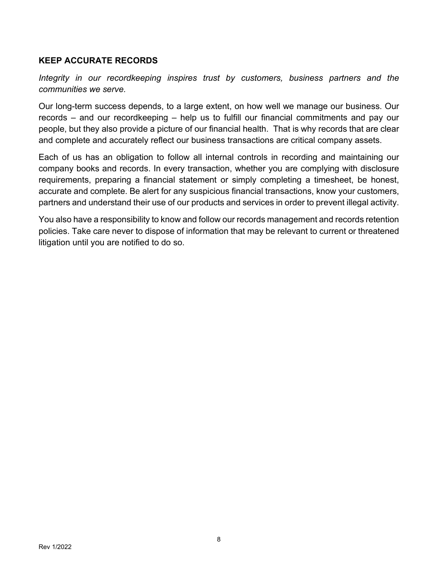## **KEEP ACCURATE RECORDS**

*Integrity in our recordkeeping inspires trust by customers, business partners and the communities we serve.*

Our long-term success depends, to a large extent, on how well we manage our business. Our records – and our recordkeeping – help us to fulfill our financial commitments and pay our people, but they also provide a picture of our financial health. That is why records that are clear and complete and accurately reflect our business transactions are critical company assets.

Each of us has an obligation to follow all internal controls in recording and maintaining our company books and records. In every transaction, whether you are complying with disclosure requirements, preparing a financial statement or simply completing a timesheet, be honest, accurate and complete. Be alert for any suspicious financial transactions, know your customers, partners and understand their use of our products and services in order to prevent illegal activity.

You also have a responsibility to know and follow our records management and records retention policies. Take care never to dispose of information that may be relevant to current or threatened litigation until you are notified to do so.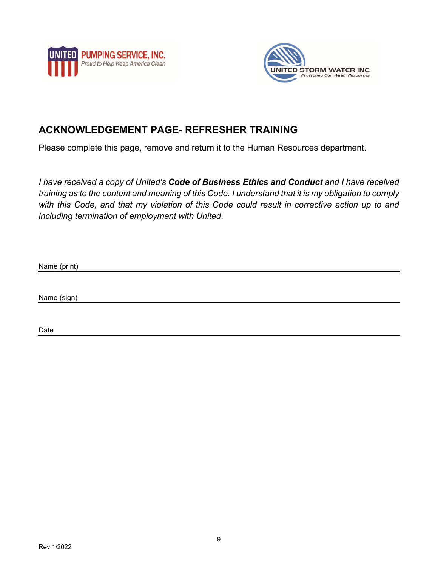



# **ACKNOWLEDGEMENT PAGE- REFRESHER TRAINING**

Please complete this page, remove and return it to the Human Resources department.

*I have received a copy of United's Code of Business Ethics and Conduct and I have received training as to the content and meaning of this Code. I understand that it is my obligation to comply with this Code, and that my violation of this Code could result in corrective action up to and including termination of employment with United*.

Name (print)

Name (sign)

Date